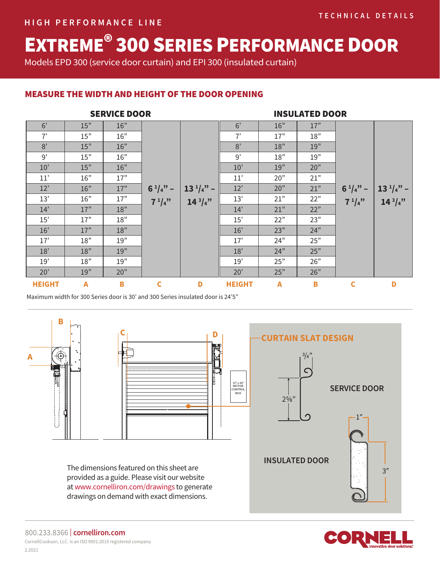# EXTREME® 300 SERIES PERFORMANCE DOOR

Models EPD 300 (service door curtain) and EPI 300 (insulated curtain)

# MEASURE THE WIDTH AND HEIGHT OF THE DOOR OPENING

| <b>SERVICE DOOR</b> |                |     |              |               | <b>INSULATED DOOR</b> |                |     |              |               |
|---------------------|----------------|-----|--------------|---------------|-----------------------|----------------|-----|--------------|---------------|
| 6'                  | 15"            | 16" |              |               | 6'                    | 16"            | 17" |              |               |
| 7'                  | 15"            | 16" |              |               | 7'                    | 17"            | 18" |              |               |
| 8'                  | 15"            | 16" |              |               | 8'                    | 18"            | 19" |              |               |
| 9'                  | 15"            | 16" |              |               | 9'                    | 18"            | 19" |              |               |
| 10'                 | 15"            | 16" |              |               | 10'                   | 19"            | 20" |              |               |
| 11'                 | 16"            | 17" |              |               | 11'                   | 20"            | 21" |              |               |
| 12'                 | 16"            | 17" | $6^{1}/4"$ – | $13^{1}/4"$ – | 12'                   | 20"            | 21" | $6^{1}/4"$ – | $13^{1}/4"$ – |
| 13'                 | 16"            | 17" | $7^{1}/4"$   | $14^{3}/4"$   | 13'                   | 21"            | 22" | $7^{1}/4"$   | $14^{3}/4"$   |
| 14'                 | 17"            | 18" |              |               | 14'                   | 21"            | 22" |              |               |
| 15'                 | 17"            | 18" |              |               | 15'                   | 22"            | 23" |              |               |
| 16'                 | 17"            | 18" |              |               | 16'                   | 23"            | 24" |              |               |
| 17'                 | 18"            | 19" |              |               | 17'                   | 24"            | 25" |              |               |
| 18'                 | 18"            | 19" |              |               | 18'                   | 24"            | 25" |              |               |
| 19'                 | 18"            | 19" |              |               | 19'                   | 25"            | 26" |              |               |
| 20'                 | 19"            | 20" |              |               | 20'                   | 25"            | 26" |              |               |
| <b>HEIGHT</b>       | $\overline{A}$ | B   | $\mathbf c$  | D             | <b>HEIGHT</b>         | $\overline{A}$ | B   | C            | D             |

Maximum width for 300 Series door is 30' and 300 Series insulated door is 24'5"